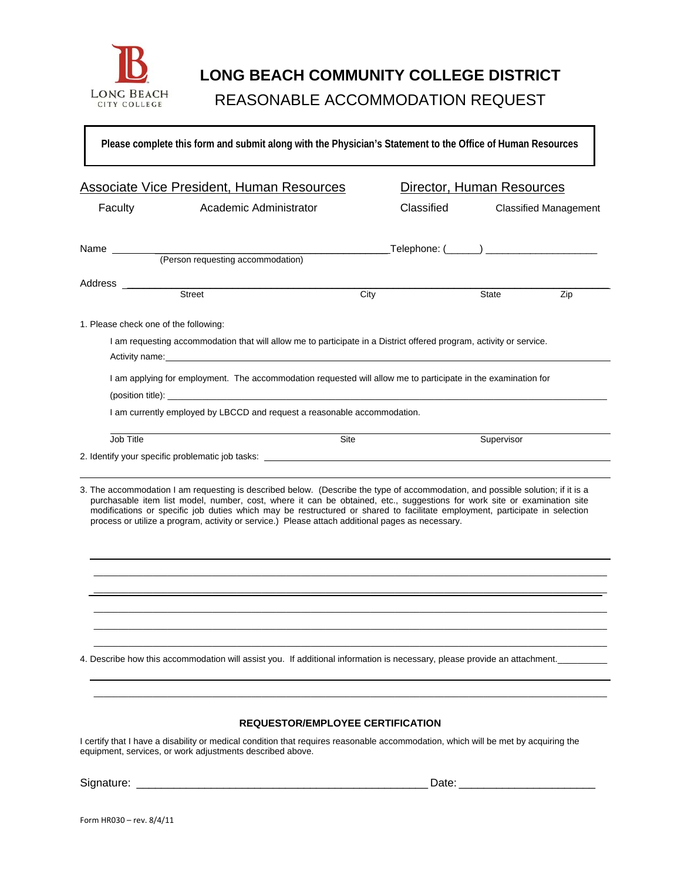

# **LONG BEACH COMMUNITY COLLEGE DISTRICT**  LONG BEACH REASONABLE ACCOMMODATION REQUEST

**Please complete this form and submit along with the Physician's Statement to the Office of Human Resources**

|                                                                                                                                                                                                 | <b>Associate Vice President, Human Resources</b>                                                                                                                                                                                                                                                                                                                                                                                                                                               |            | Director, Human Resources                   |  |
|-------------------------------------------------------------------------------------------------------------------------------------------------------------------------------------------------|------------------------------------------------------------------------------------------------------------------------------------------------------------------------------------------------------------------------------------------------------------------------------------------------------------------------------------------------------------------------------------------------------------------------------------------------------------------------------------------------|------------|---------------------------------------------|--|
| Faculty                                                                                                                                                                                         | Academic Administrator                                                                                                                                                                                                                                                                                                                                                                                                                                                                         | Classified | <b>Classified Management</b>                |  |
|                                                                                                                                                                                                 |                                                                                                                                                                                                                                                                                                                                                                                                                                                                                                |            | Telephone: (______) _______________________ |  |
| Address _________                                                                                                                                                                               | Street                                                                                                                                                                                                                                                                                                                                                                                                                                                                                         | City       | Zip<br>State                                |  |
| 1. Please check one of the following:                                                                                                                                                           |                                                                                                                                                                                                                                                                                                                                                                                                                                                                                                |            |                                             |  |
|                                                                                                                                                                                                 | I am requesting accommodation that will allow me to participate in a District offered program, activity or service.                                                                                                                                                                                                                                                                                                                                                                            |            |                                             |  |
|                                                                                                                                                                                                 | I am applying for employment. The accommodation requested will allow me to participate in the examination for<br>(position title):                                                                                                                                                                                                                                                                                                                                                             |            |                                             |  |
|                                                                                                                                                                                                 | I am currently employed by LBCCD and request a reasonable accommodation.                                                                                                                                                                                                                                                                                                                                                                                                                       |            |                                             |  |
| Job Title                                                                                                                                                                                       |                                                                                                                                                                                                                                                                                                                                                                                                                                                                                                | Site       | Supervisor                                  |  |
|                                                                                                                                                                                                 | 2. Identify your specific problematic job tasks: ________________________________                                                                                                                                                                                                                                                                                                                                                                                                              |            |                                             |  |
|                                                                                                                                                                                                 | 3. The accommodation I am requesting is described below. (Describe the type of accommodation, and possible solution; if it is a<br>purchasable item list model, number, cost, where it can be obtained, etc., suggestions for work site or examination site<br>modifications or specific job duties which may be restructured or shared to facilitate employment, participate in selection<br>process or utilize a program, activity or service.) Please attach additional pages as necessary. |            |                                             |  |
|                                                                                                                                                                                                 | 4. Describe how this accommodation will assist you. If additional information is necessary, please provide an attachment.                                                                                                                                                                                                                                                                                                                                                                      |            |                                             |  |
|                                                                                                                                                                                                 |                                                                                                                                                                                                                                                                                                                                                                                                                                                                                                |            |                                             |  |
|                                                                                                                                                                                                 | <b>REQUESTOR/EMPLOYEE CERTIFICATION</b>                                                                                                                                                                                                                                                                                                                                                                                                                                                        |            |                                             |  |
| I certify that I have a disability or medical condition that requires reasonable accommodation, which will be met by acquiring the<br>equipment, services, or work adjustments described above. |                                                                                                                                                                                                                                                                                                                                                                                                                                                                                                |            |                                             |  |
|                                                                                                                                                                                                 |                                                                                                                                                                                                                                                                                                                                                                                                                                                                                                |            |                                             |  |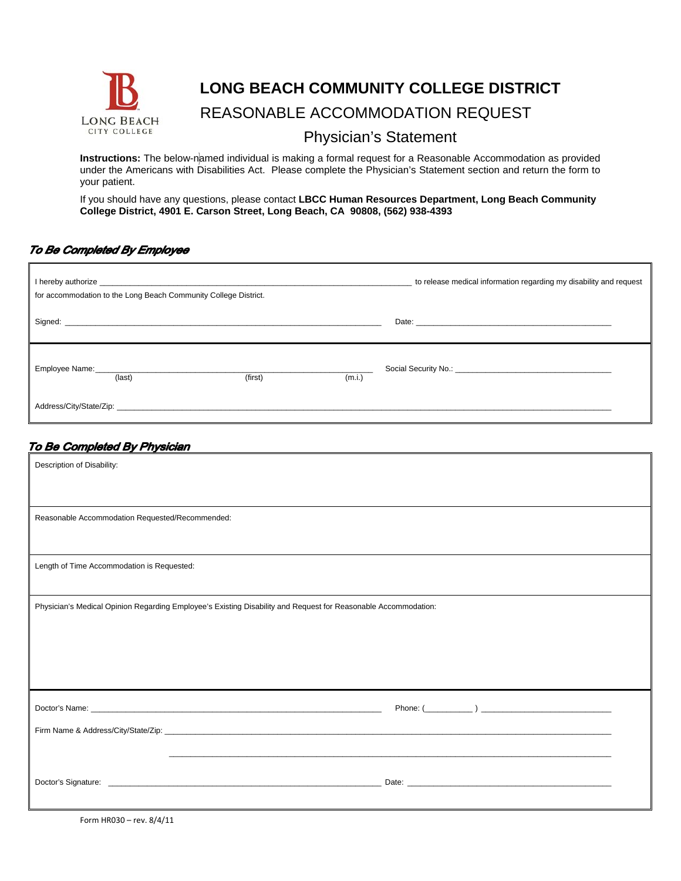

## **LONG BEACH COMMUNITY COLLEGE DISTRICT**

## LONG BEACH REASONABLE ACCOMMODATION REQUEST

### Physician's Statement

**Instructions:** The below-named individual is making a formal request for a Reasonable Accommodation as provided under the Americans with Disabilities Act. Please complete the Physician's Statement section and return the form to your patient.

If you should have any questions, please contact **LBCC Human Resources Department, Long Beach Community College District, 4901 E. Carson Street, Long Beach, CA 90808, (562) 938-4393**

#### To Be Completed By Employee

|        | for accommodation to the Long Beach Community College District.                                                                                                                                                                |        | to release medical information regarding my disability and request |
|--------|--------------------------------------------------------------------------------------------------------------------------------------------------------------------------------------------------------------------------------|--------|--------------------------------------------------------------------|
|        | Signed: etc. All and the contract of the contract of the contract of the contract of the contract of the contract of the contract of the contract of the contract of the contract of the contract of the contract of the contr |        |                                                                    |
| (last) | (first)                                                                                                                                                                                                                        | (m.i.) |                                                                    |
|        | Address/City/State/Zip: 2006/2012 2012 2022 2023 2024 2022 2023 2024 2022 2023 2024 2022 2023 2024 2022 2023 20                                                                                                                |        |                                                                    |

#### To Be Completed By Physician

| Description of Disability:                                                                                     |                                                                                                                                                                                                                                      |  |
|----------------------------------------------------------------------------------------------------------------|--------------------------------------------------------------------------------------------------------------------------------------------------------------------------------------------------------------------------------------|--|
|                                                                                                                |                                                                                                                                                                                                                                      |  |
| Reasonable Accommodation Requested/Recommended:                                                                |                                                                                                                                                                                                                                      |  |
|                                                                                                                |                                                                                                                                                                                                                                      |  |
| Length of Time Accommodation is Requested:                                                                     |                                                                                                                                                                                                                                      |  |
|                                                                                                                |                                                                                                                                                                                                                                      |  |
| Physician's Medical Opinion Regarding Employee's Existing Disability and Request for Reasonable Accommodation: |                                                                                                                                                                                                                                      |  |
|                                                                                                                |                                                                                                                                                                                                                                      |  |
|                                                                                                                |                                                                                                                                                                                                                                      |  |
|                                                                                                                |                                                                                                                                                                                                                                      |  |
|                                                                                                                |                                                                                                                                                                                                                                      |  |
|                                                                                                                |                                                                                                                                                                                                                                      |  |
|                                                                                                                |                                                                                                                                                                                                                                      |  |
|                                                                                                                | ,我们也不能在这里的人,我们也不能在这里的人,我们也不能在这里的人,我们也不能在这里的人,我们也不能在这里的人,我们也不能在这里的人,我们也不能在这里的人,我们也                                                                                                                                                    |  |
|                                                                                                                | Doctor's Signature: <b>Contract Contract Contract Contract Contract Contract Contract Contract Contract Contract Contract Contract Contract Contract Contract Contract Contract Contract Contract Contract Contract Contract Con</b> |  |
|                                                                                                                |                                                                                                                                                                                                                                      |  |

Form HR030 – rev. 8/4/11